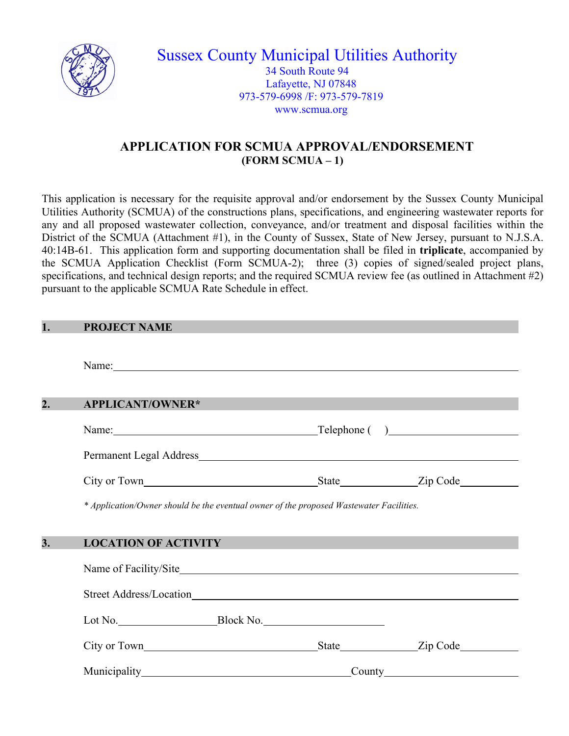

Sussex County Municipal Utilities Authority 34 South Route 94 Lafayette, NJ 07848 973-579-6998 /F: 973-579-7819 www.scmua.org

## **APPLICATION FOR SCMUA APPROVAL/ENDORSEMENT (FORM SCMUA – 1)**

This application is necessary for the requisite approval and/or endorsement by the Sussex County Municipal Utilities Authority (SCMUA) of the constructions plans, specifications, and engineering wastewater reports for any and all proposed wastewater collection, conveyance, and/or treatment and disposal facilities within the District of the SCMUA (Attachment #1), in the County of Sussex, State of New Jersey, pursuant to N.J.S.A. 40:14B-61. This application form and supporting documentation shall be filed in **triplicate**, accompanied by the SCMUA Application Checklist (Form SCMUA-2); three (3) copies of signed/sealed project plans, specifications, and technical design reports; and the required SCMUA review fee (as outlined in Attachment #2) pursuant to the applicable SCMUA Rate Schedule in effect.

| 1.               | <b>PROJECT NAME</b>                                                                                                                                                                                                            |  |  |  |  |
|------------------|--------------------------------------------------------------------------------------------------------------------------------------------------------------------------------------------------------------------------------|--|--|--|--|
|                  | Name: Name and the set of the set of the set of the set of the set of the set of the set of the set of the set of the set of the set of the set of the set of the set of the set of the set of the set of the set of the set o |  |  |  |  |
|                  |                                                                                                                                                                                                                                |  |  |  |  |
| $\overline{2}$ . | <b>APPLICANT/OWNER*</b>                                                                                                                                                                                                        |  |  |  |  |
|                  | Name: <u>Name:</u> Telephone ()                                                                                                                                                                                                |  |  |  |  |
|                  | Permanent Legal Address                                                                                                                                                                                                        |  |  |  |  |
|                  |                                                                                                                                                                                                                                |  |  |  |  |
|                  | * Application/Owner should be the eventual owner of the proposed Wastewater Facilities.                                                                                                                                        |  |  |  |  |
| $\overline{3}$ . |                                                                                                                                                                                                                                |  |  |  |  |
|                  | <b>LOCATION OF ACTIVITY</b>                                                                                                                                                                                                    |  |  |  |  |
|                  |                                                                                                                                                                                                                                |  |  |  |  |
|                  |                                                                                                                                                                                                                                |  |  |  |  |
|                  |                                                                                                                                                                                                                                |  |  |  |  |
|                  |                                                                                                                                                                                                                                |  |  |  |  |
|                  | Municipality County County                                                                                                                                                                                                     |  |  |  |  |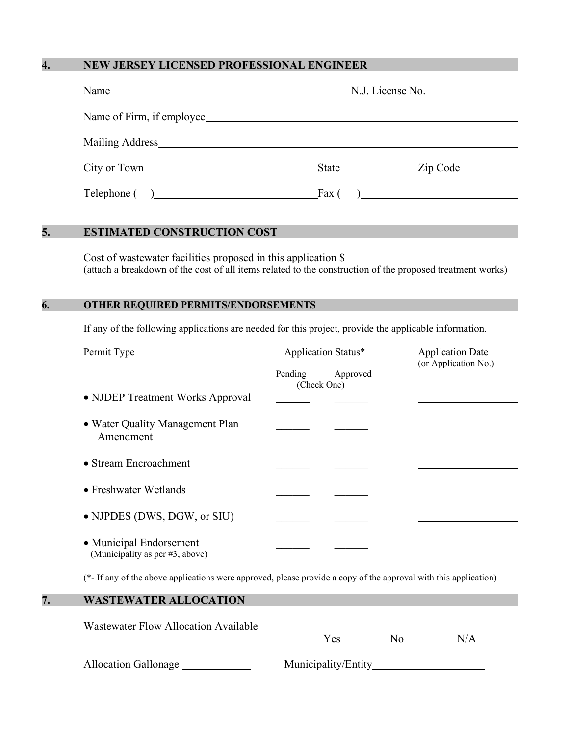### **4. NEW JERSEY LICENSED PROFESSIONAL ENGINEER**

|                                                                                                                                                                                                                                | N.J. License No. |  |
|--------------------------------------------------------------------------------------------------------------------------------------------------------------------------------------------------------------------------------|------------------|--|
|                                                                                                                                                                                                                                |                  |  |
| Mailing Address Manual Manual Manual Manual Manual Manual Manual Manual Manual Manual Manual Manual Manual Manual Manual Manual Manual Manual Manual Manual Manual Manual Manual Manual Manual Manual Manual Manual Manual Man |                  |  |
| City or Town                                                                                                                                                                                                                   | State Zip Code   |  |
| $\text{Telephone}$ ( ) Fax ( )                                                                                                                                                                                                 |                  |  |

## **5. ESTIMATED CONSTRUCTION COST**

Cost of wastewater facilities proposed in this application \$ (attach a breakdown of the cost of all items related to the construction of the proposed treatment works)

#### **6. OTHER REQUIRED PERMITS/ENDORSEMENTS**

If any of the following applications are needed for this project, provide the applicable information.

| Permit Type                                                | Application Status*    |          | <b>Application Date</b><br>(or Application No.) |  |
|------------------------------------------------------------|------------------------|----------|-------------------------------------------------|--|
|                                                            | Pending<br>(Check One) | Approved |                                                 |  |
| • NJDEP Treatment Works Approval                           |                        |          |                                                 |  |
| • Water Quality Management Plan<br>Amendment               |                        |          |                                                 |  |
| • Stream Encroachment                                      |                        |          |                                                 |  |
| • Freshwater Wetlands                                      |                        |          |                                                 |  |
| • NJPDES (DWS, DGW, or SIU)                                |                        |          |                                                 |  |
| • Municipal Endorsement<br>(Municipality as per #3, above) |                        |          |                                                 |  |

(\*- If any of the above applications were approved, please provide a copy of the approval with this application)

| <b>WASTEWATER ALLOCATION</b>         |                     |    |     |  |
|--------------------------------------|---------------------|----|-----|--|
| Wastewater Flow Allocation Available | Yes                 | No | N/A |  |
| <b>Allocation Gallonage</b>          | Municipality/Entity |    |     |  |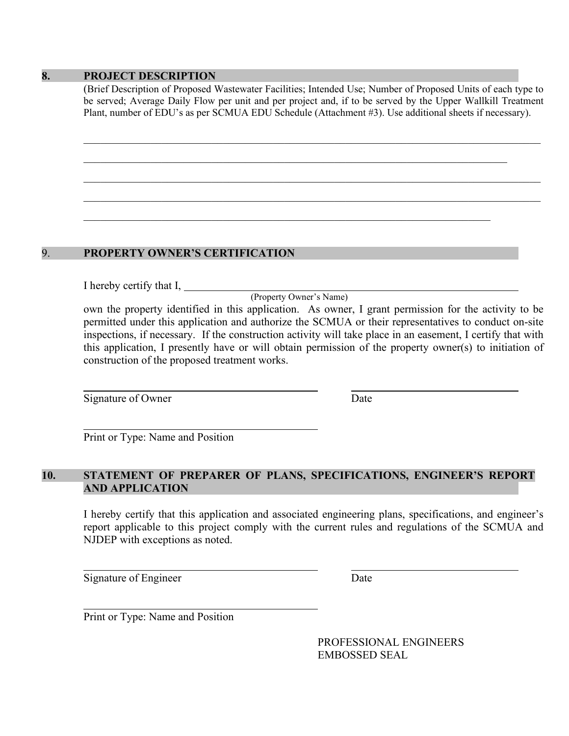#### **8. PROJECT DESCRIPTION**

(Brief Description of Proposed Wastewater Facilities; Intended Use; Number of Proposed Units of each type to be served; Average Daily Flow per unit and per project and, if to be served by the Upper Wallkill Treatment Plant, number of EDU's as per SCMUA EDU Schedule (Attachment #3). Use additional sheets if necessary).

\_\_\_\_\_\_\_\_\_\_\_\_\_\_\_\_\_\_\_\_\_\_\_\_\_\_\_\_\_\_\_\_\_\_\_\_\_\_\_\_\_\_\_\_\_\_\_\_\_\_\_\_\_\_\_\_\_\_\_\_\_\_\_\_\_\_\_\_\_\_\_\_\_\_\_\_\_\_\_\_\_\_

\_\_\_\_\_\_\_\_\_\_\_\_\_\_\_\_\_\_\_\_\_\_\_\_\_\_\_\_\_\_\_\_\_\_\_\_\_\_\_\_\_\_\_\_\_\_\_\_\_\_\_\_\_\_\_\_\_\_\_\_\_\_\_\_\_\_\_\_\_\_\_\_\_\_\_\_\_\_\_\_\_\_

\_\_\_\_\_\_\_\_\_\_\_\_\_\_\_\_\_\_\_\_\_\_\_\_\_\_\_\_\_\_\_\_\_\_\_\_\_\_\_\_\_\_\_\_\_\_\_\_\_\_\_\_\_\_\_\_\_\_\_\_\_\_\_\_\_\_\_\_\_\_\_\_\_\_\_\_\_\_\_\_\_\_

### 9. **PROPERTY OWNER'S CERTIFICATION**

I hereby certify that I,

(Property Owner's Name)

own the property identified in this application. As owner, I grant permission for the activity to be permitted under this application and authorize the SCMUA or their representatives to conduct on-site inspections, if necessary. If the construction activity will take place in an easement, I certify that with this application, I presently have or will obtain permission of the property owner(s) to initiation of construction of the proposed treatment works.

Signature of Owner Date

Print or Type: Name and Position

### **10. STATEMENT OF PREPARER OF PLANS, SPECIFICATIONS, ENGINEER'S REPORT AND APPLICATION**

I hereby certify that this application and associated engineering plans, specifications, and engineer's report applicable to this project comply with the current rules and regulations of the SCMUA and NJDEP with exceptions as noted.

Signature of Engineer Date

Print or Type: Name and Position

PROFESSIONAL ENGINEERS EMBOSSED SEAL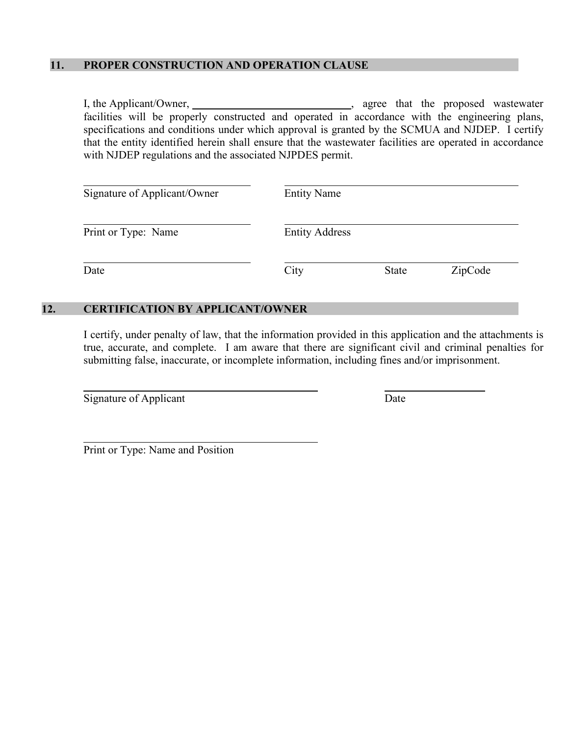### **11. PROPER CONSTRUCTION AND OPERATION CLAUSE**

I, the Applicant/Owner, , agree that the proposed wastewater facilities will be properly constructed and operated in accordance with the engineering plans, specifications and conditions under which approval is granted by the SCMUA and NJDEP. I certify that the entity identified herein shall ensure that the wastewater facilities are operated in accordance with NJDEP regulations and the associated NJPDES permit.

| Signature of Applicant/Owner | <b>Entity Name</b>    |              |         |
|------------------------------|-----------------------|--------------|---------|
| Print or Type: Name          | <b>Entity Address</b> |              |         |
| Date                         | City                  | <b>State</b> | ZipCode |

## **12. CERTIFICATION BY APPLICANT/OWNER**

I certify, under penalty of law, that the information provided in this application and the attachments is true, accurate, and complete. I am aware that there are significant civil and criminal penalties for submitting false, inaccurate, or incomplete information, including fines and/or imprisonment.

Signature of Applicant Date

Print or Type: Name and Position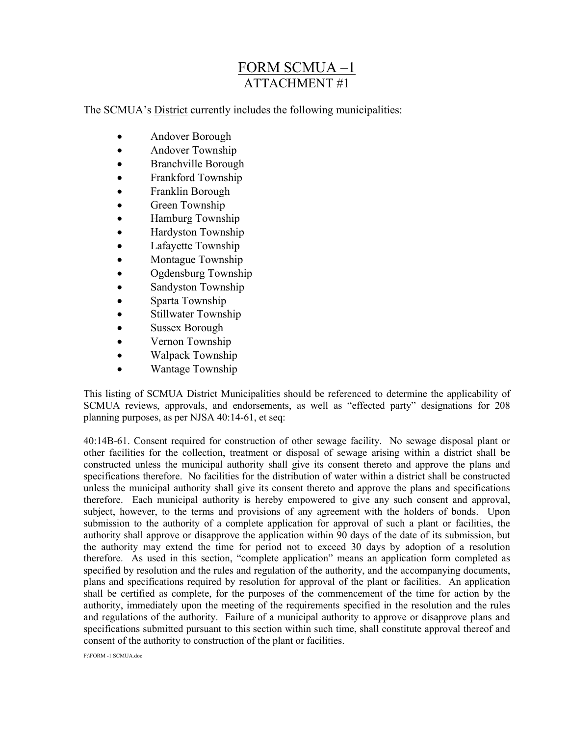# FORM SCMUA –1 ATTACHMENT #1

The SCMUA's District currently includes the following municipalities:

- Andover Borough
- Andover Township
- Branchville Borough
- Frankford Township
- Franklin Borough
- Green Township
- Hamburg Township
- Hardyston Township
- Lafayette Township
- Montague Township
- Ogdensburg Township
- Sandyston Township
- Sparta Township
- Stillwater Township
- Sussex Borough
- Vernon Township
- Walpack Township
- Wantage Township

This listing of SCMUA District Municipalities should be referenced to determine the applicability of SCMUA reviews, approvals, and endorsements, as well as "effected party" designations for 208 planning purposes, as per NJSA 40:14-61, et seq:

40:14B-61. Consent required for construction of other sewage facility. No sewage disposal plant or other facilities for the collection, treatment or disposal of sewage arising within a district shall be constructed unless the municipal authority shall give its consent thereto and approve the plans and specifications therefore. No facilities for the distribution of water within a district shall be constructed unless the municipal authority shall give its consent thereto and approve the plans and specifications therefore. Each municipal authority is hereby empowered to give any such consent and approval, subject, however, to the terms and provisions of any agreement with the holders of bonds. Upon submission to the authority of a complete application for approval of such a plant or facilities, the authority shall approve or disapprove the application within 90 days of the date of its submission, but the authority may extend the time for period not to exceed 30 days by adoption of a resolution therefore. As used in this section, "complete application" means an application form completed as specified by resolution and the rules and regulation of the authority, and the accompanying documents, plans and specifications required by resolution for approval of the plant or facilities. An application shall be certified as complete, for the purposes of the commencement of the time for action by the authority, immediately upon the meeting of the requirements specified in the resolution and the rules and regulations of the authority. Failure of a municipal authority to approve or disapprove plans and specifications submitted pursuant to this section within such time, shall constitute approval thereof and consent of the authority to construction of the plant or facilities.

F:\FORM -1 SCMUA.doc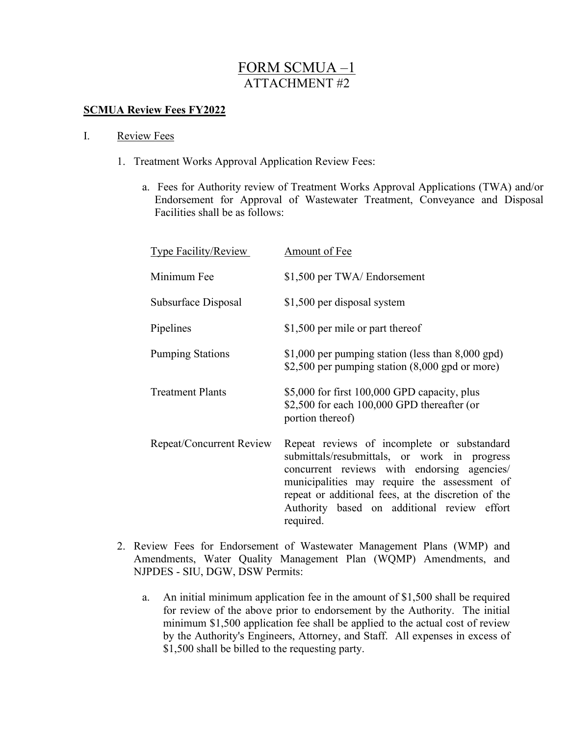# FORM SCMUA –1 ATTACHMENT #2

### **SCMUA Review Fees FY2022**

#### I. Review Fees

- 1. Treatment Works Approval Application Review Fees:
	- a. Fees for Authority review of Treatment Works Approval Applications (TWA) and/or Endorsement for Approval of Wastewater Treatment, Conveyance and Disposal Facilities shall be as follows:

| Type Facility/Review     | Amount of Fee                                                                                                                                                                                                                                                                                                 |
|--------------------------|---------------------------------------------------------------------------------------------------------------------------------------------------------------------------------------------------------------------------------------------------------------------------------------------------------------|
| Minimum Fee              | \$1,500 per TWA/ Endorsement                                                                                                                                                                                                                                                                                  |
| Subsurface Disposal      | \$1,500 per disposal system                                                                                                                                                                                                                                                                                   |
| Pipelines                | \$1,500 per mile or part thereof                                                                                                                                                                                                                                                                              |
| <b>Pumping Stations</b>  | \$1,000 per pumping station (less than $8,000$ gpd)<br>\$2,500 per pumping station $(8,000 \text{ gpd or more})$                                                                                                                                                                                              |
| <b>Treatment Plants</b>  | \$5,000 for first 100,000 GPD capacity, plus<br>\$2,500 for each $100,000$ GPD thereafter (or<br>portion thereof)                                                                                                                                                                                             |
| Repeat/Concurrent Review | Repeat reviews of incomplete or substandard<br>submittals/resubmittals, or work in progress<br>concurrent reviews with endorsing agencies/<br>municipalities may require the assessment of<br>repeat or additional fees, at the discretion of the<br>Authority based on additional review effort<br>required. |

- 2. Review Fees for Endorsement of Wastewater Management Plans (WMP) and Amendments, Water Quality Management Plan (WQMP) Amendments, and NJPDES - SIU, DGW, DSW Permits:
	- a. An initial minimum application fee in the amount of \$1,500 shall be required for review of the above prior to endorsement by the Authority. The initial minimum \$1,500 application fee shall be applied to the actual cost of review by the Authority's Engineers, Attorney, and Staff. All expenses in excess of \$1,500 shall be billed to the requesting party.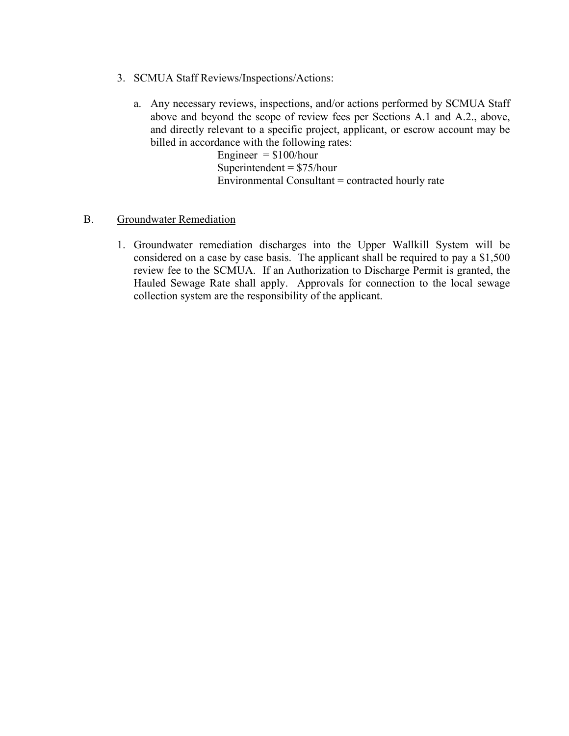- 3. SCMUA Staff Reviews/Inspections/Actions:
	- a. Any necessary reviews, inspections, and/or actions performed by SCMUA Staff above and beyond the scope of review fees per Sections A.1 and A.2., above, and directly relevant to a specific project, applicant, or escrow account may be billed in accordance with the following rates:

Engineer  $=$  \$100/hour Superintendent  $= $75/h$ our Environmental Consultant = contracted hourly rate

#### B. Groundwater Remediation

1. Groundwater remediation discharges into the Upper Wallkill System will be considered on a case by case basis. The applicant shall be required to pay a \$1,500 review fee to the SCMUA. If an Authorization to Discharge Permit is granted, the Hauled Sewage Rate shall apply. Approvals for connection to the local sewage collection system are the responsibility of the applicant.